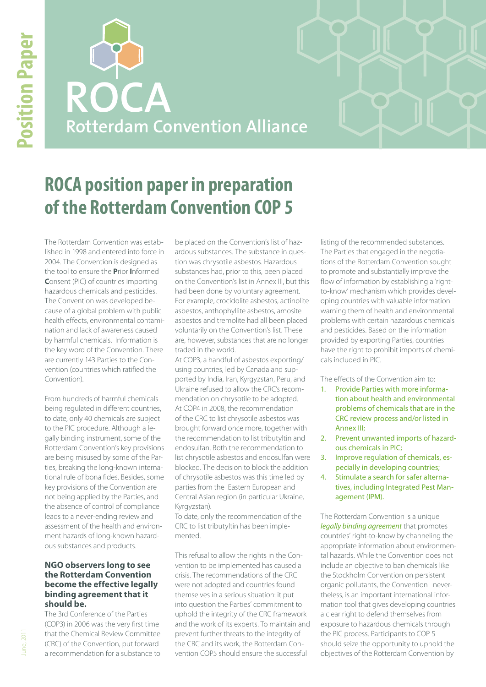**ROCA Rotterdam Convention Alliance**

# **ROCA position paper in preparation of the Rotterdam Convention COP 5**

The Rotterdam Convention was established in 1998 and entered into force in 2004. The Convention is designed as the tool to ensure the **P**rior **I**nformed **C**onsent (PIC) of countries importing hazardous chemicals and pesticides. The Convention was developed because of a global problem with public health effects, environmental contamination and lack of awareness caused by harmful chemicals. Information is the key word of the Convention. There are currently 143 Parties to the Convention (countries which ratified the Convention).

From hundreds of harmful chemicals being regulated in different countries, to date, only 40 chemicals are subject to the PIC procedure. Although a legally binding instrument, some of the Rotterdam Convention's key provisions are being misused by some of the Parties, breaking the long-known international rule of bona fides. Besides, some key provisions of the Convention are not being applied by the Parties, and the absence of control of compliance leads to a never-ending review and assessment of the health and environment hazards of long-known hazardous substances and products.

# **NGO observers long to see the Rotterdam Convention become the effective legally binding agreement that it should be.**

The 3rd Conference of the Parties (COP3) in 2006 was the very first time that the Chemical Review Committee (CRC) of the Convention, put forward a recommendation for a substance to

be placed on the Convention's list of hazardous substances. The substance in question was chrysotile asbestos. Hazardous substances had, prior to this, been placed on the Convention's list in Annex III, but this had been done by voluntary agreement. For example, crocidolite asbestos, actinolite asbestos, anthophyllite asbestos, amosite asbestos and tremolite had all been placed voluntarily on the Convention's list. These are, however, substances that are no longer traded in the world.

At COP3, a handful of asbestos exporting/ using countries, led by Canada and supported by India, Iran, Kyrgyzstan, Peru, and Ukraine refused to allow the CRC's recommendation on chrysotile to be adopted. At COP4 in 2008, the recommendation of the CRC to list chrysotile asbestos was brought forward once more, together with the recommendation to list tributyltin and endosulfan. Both the recommendation to list chrysotile asbestos and endosulfan were blocked. The decision to block the addition of chrysotile asbestos was this time led by parties from the Eastern European and Central Asian region (in particular Ukraine, Kyrgyzstan).

To date, only the recommendation of the CRC to list tributyltin has been implemented.

This refusal to allow the rights in the Convention to be implemented has caused a crisis. The recommendations of the CRC were not adopted and countries found themselves in a serious situation: it put into question the Parties' commitment to uphold the integrity of the CRC framework and the work of its experts. To maintain and prevent further threats to the integrity of the CRC and its work, the Rotterdam Convention COP5 should ensure the successful

listing of the recommended substances. The Parties that engaged in the negotiations of the Rotterdam Convention sought to promote and substantially improve the flow of information by establishing a 'rightto-know' mechanism which provides developing countries with valuable information warning them of health and environmental problems with certain hazardous chemicals and pesticides. Based on the information provided by exporting Parties, countries have the right to prohibit imports of chemicals included in PIC.

The effects of the Convention aim to:

- 1. Provide Parties with more information about health and environmental problems of chemicals that are in the CRC review process and/or listed in Annex III;
- 2. Prevent unwanted imports of hazardous chemicals in PIC;
- 3. Improve regulation of chemicals, especially in developing countries;
- 4. Stimulate a search for safer alternatives, including Integrated Pest Management (IPM).

The Rotterdam Convention is a unique *legally binding agreement* that promotes countries' right-to-know by channeling the appropriate information about environmental hazards. While the Convention does not include an objective to ban chemicals like the Stockholm Convention on persistent organic pollutants, the Convention nevertheless, is an important international information tool that gives developing countries a clear right to defend themselves from exposure to hazardous chemicals through the PIC process. Participants to COP 5 should seize the opportunity to uphold the objectives of the Rotterdam Convention by